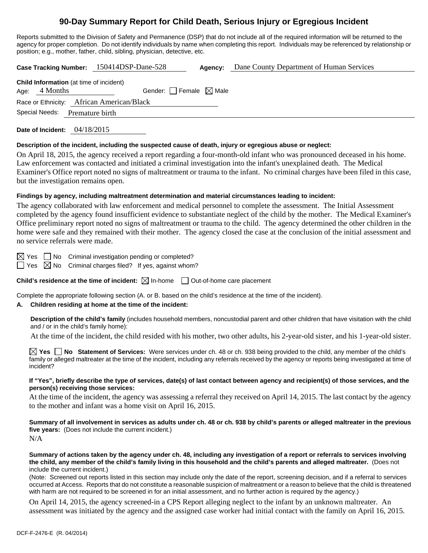# **90-Day Summary Report for Child Death, Serious Injury or Egregious Incident**

Reports submitted to the Division of Safety and Permanence (DSP) that do not include all of the required information will be returned to the agency for proper completion. Do not identify individuals by name when completing this report. Individuals may be referenced by relationship or position; e.g., mother, father, child, sibling, physician, detective, etc.

**Case Tracking Number:** 150414DSP-Dane-528 **Agency:** Dane County Department of Human Services

**Date of Incident:** 04/18/2015

#### **Description of the incident, including the suspected cause of death, injury or egregious abuse or neglect:**

On April 18, 2015, the agency received a report regarding a four-month-old infant who was pronounced deceased in his home. Law enforcement was contacted and initiated a criminal investigation into the infant's unexplained death. The Medical Examiner's Office report noted no signs of maltreatment or trauma to the infant. No criminal charges have been filed in this case, but the investigation remains open.

### **Findings by agency, including maltreatment determination and material circumstances leading to incident:**

The agency collaborated with law enforcement and medical personnel to complete the assessment. The Initial Assessment completed by the agency found insufficient evidence to substantiate neglect of the child by the mother. The Medical Examiner's Office preliminary report noted no signs of maltreatment or trauma to the child. The agency determined the other children in the home were safe and they remained with their mother. The agency closed the case at the conclusion of the initial assessment and no service referrals were made.

 $\boxtimes$  Yes  $\Box$  No Criminal investigation pending or completed?

 $\Box$  Yes  $\oslash$  No Criminal charges filed? If yes, against whom?

**Child's residence at the time of incident:**  $\boxtimes$  In-home  $\Box$  Out-of-home care placement

Complete the appropriate following section (A. or B. based on the child's residence at the time of the incident).

## **A. Children residing at home at the time of the incident:**

**Description of the child's family** (includes household members, noncustodial parent and other children that have visitation with the child and / or in the child's family home):

At the time of the incident, the child resided with his mother, two other adults, his 2-year-old sister, and his 1-year-old sister.

**Yes No Statement of Services:** Were services under ch. 48 or ch. 938 being provided to the child, any member of the child's family or alleged maltreater at the time of the incident, including any referrals received by the agency or reports being investigated at time of incident?

#### **If "Yes", briefly describe the type of services, date(s) of last contact between agency and recipient(s) of those services, and the person(s) receiving those services:**

At the time of the incident, the agency was assessing a referral they received on April 14, 2015. The last contact by the agency to the mother and infant was a home visit on April 16, 2015.

**Summary of all involvement in services as adults under ch. 48 or ch. 938 by child's parents or alleged maltreater in the previous five years:** (Does not include the current incident.) N/A

**Summary of actions taken by the agency under ch. 48, including any investigation of a report or referrals to services involving the child, any member of the child's family living in this household and the child's parents and alleged maltreater.** (Does not include the current incident.)

(Note: Screened out reports listed in this section may include only the date of the report, screening decision, and if a referral to services occurred at Access. Reports that do not constitute a reasonable suspicion of maltreatment or a reason to believe that the child is threatened with harm are not required to be screened in for an initial assessment, and no further action is required by the agency.)

On April 14, 2015, the agency screened-in a CPS Report alleging neglect to the infant by an unknown maltreater. An assessment was initiated by the agency and the assigned case worker had initial contact with the family on April 16, 2015.